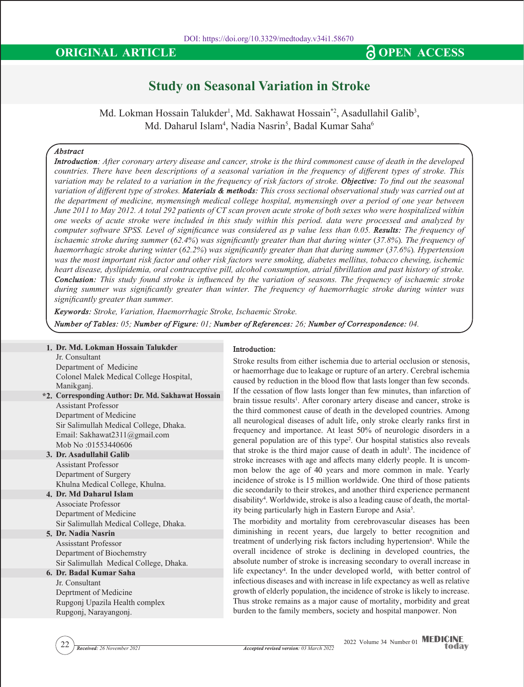# **Study on Seasonal Variation in Stroke**

Md. Lokman Hossain Talukder<sup>1</sup>, Md. Sakhawat Hossain\*<sup>2</sup>, Asadullahil Galib<sup>3</sup>, Md. Daharul Islam<sup>4</sup>, Nadia Nasrin<sup>5</sup>, Badal Kumar Saha<sup>6</sup>

### *Abstract*

*Introduction: After coronary artery disease and cancer, stroke is the third commonest cause of death in the developed countries. There have been descriptions of a seasonal variation in the frequency of different types of stroke. This variation may be related to a variation in the frequency of risk factors of stroke. Objective: To find out the seasonal variation of different type of strokes. Materials & methods: This cross sectional observational study was carried out at the department of medicine, mymensingh medical college hospital, mymensingh over a period of one year between June 2011 to May 2012. A total 292 patients of CT scan proven acute stroke of both sexes who were hospitalized within one weeks of acute stroke were included in this study within this period. data were processed and analyzed by computer software SPSS. Level of significance was considered as p value less than 0.05. Results: The frequency of ischaemic stroke during summer (62.4%) was significantly greater than that during winter (37.8%). The frequency of haemorrhagic stroke during winter (62.2%) was significantly greater than that during summer (37.6%). Hypertension was the most important risk factor and other risk factors were smoking, diabetes mellitus, tobacco chewing, ischemic heart disease, dyslipidemia, oral contraceptive pill, alcohol consumption, atrial fibrillation and past history of stroke. Conclusion: This study found stroke is influenced by the variation of seasons. The frequency of ischaemic stroke during summer was significantly greater than winter. The frequency of haemorrhagic stroke during winter was significantly greater than summer.*

*Keywords: Stroke, Variation, Haemorrhagic Stroke, Ischaemic Stroke. Number of Tables: 05; Number of Figure: 01; Number of References: 26; Number of Correspondence: 04.*

#### **1. Dr. Md. Lokman Hossain Talukder**

Jr. Consultant Department of Medicine Colonel Malek Medical College Hospital, Manikganj.

- **\*2. Corresponding Author: Dr. Md. Sakhawat Hossain**  Assistant Professor Department of Medicine Sir Salimullah Medical College, Dhaka. Email: Sakhawat2311@gmail.com Mob No :01553440606
- **3. Dr. Asadullahil Galib** Assistant Professor Department of Surgery Khulna Medical College, Khulna.
- **4. Dr. Md Daharul Islam**  Associate Professor Department of Medicine Sir Salimullah Medical College, Dhaka.
- **5. Dr. Nadia Nasrin** Assisstant Professor Department of Biochemstry Sir Salimullah Medical College, Dhaka.

## **6. Dr. Badal Kumar Saha**

Jr. Consultant Deprtment of Medicine Rupgonj Upazila Health complex Rupgonj, Narayangonj.

#### **Introduction:**

Stroke results from either ischemia due to arterial occlusion or stenosis, or haemorrhage due to leakage or rupture of an artery. Cerebral ischemia caused by reduction in the blood flow that lasts longer than few seconds. If the cessation of flow lasts longer than few minutes, than infarction of brain tissue results<sup>1</sup>. After coronary artery disease and cancer, stroke is the third commonest cause of death in the developed countries. Among all neurological diseases of adult life, only stroke clearly ranks first in frequency and importance. At least 50% of neurologic disorders in a general population are of this type2 . Our hospital statistics also reveals that stroke is the third major cause of death in adult<sup>3</sup>. The incidence of stroke increases with age and affects many elderly people. It is uncommon below the age of 40 years and more common in male. Yearly incidence of stroke is 15 million worldwide. One third of those patients die secondarily to their strokes, and another third experience permanent disability4 . Worldwide, stroke is also a leading cause of death, the mortality being particularly high in Eastern Europe and Asia5 .

The morbidity and mortality from cerebrovascular diseases has been diminishing in recent years, due largely to better recognition and treatment of underlying risk factors including hypertension<sup>6</sup>. While the overall incidence of stroke is declining in developed countries, the absolute number of stroke is increasing secondary to overall increase in life expectancy<sup>4</sup>. In the under developed world, with better control of infectious diseases and with increase in life expectancy as well as relative growth of elderly population, the incidence of stroke is likely to increase. Thus stroke remains as a major cause of mortality, morbidity and great burden to the family members, society and hospital manpower. Non

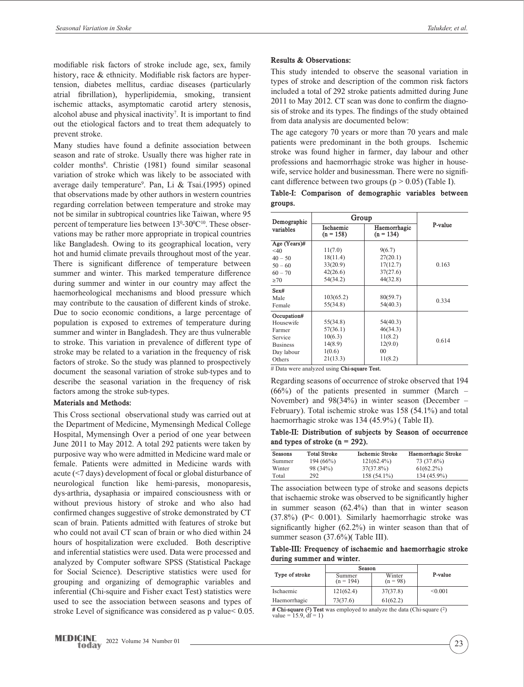modifiable risk factors of stroke include age, sex, family history, race & ethnicity. Modifiable risk factors are hypertension, diabetes mellitus, cardiac diseases (particularly atrial fibrillation), hyperlipidemia, smoking, transient ischemic attacks, asymptomatic carotid artery stenosis, alcohol abuse and physical inactivity7 . It is important to find out the etiological factors and to treat them adequately to prevent stroke.

Many studies have found a definite association between season and rate of stroke. Usually there was higher rate in colder months<sup>8</sup>. Christie (1981) found similar seasonal variation of stroke which was likely to be associated with average daily temperature9 . Pan, Li & Tsai.(1995) opined that observations made by other authors in western countries regarding correlation between temperature and stroke may not be similar in subtropical countries like Taiwan, where 95 percent of temperature lies between  $13^{\circ}$ -30 $^{\circ}$ C<sup>10</sup>. These observations may be rather more appropriate in tropical countries like Bangladesh. Owing to its geographical location, very hot and humid climate prevails throughout most of the year. There is significant difference of temperature between summer and winter. This marked temperature difference during summer and winter in our country may affect the haemorheological mechanisms and blood pressure which may contribute to the causation of different kinds of stroke. Due to socio economic conditions, a large percentage of population is exposed to extremes of temperature during summer and winter in Bangladesh. They are thus vulnerable to stroke. This variation in prevalence of different type of stroke may be related to a variation in the frequency of risk factors of stroke. So the study was planned to prospectively document the seasonal variation of stroke sub-types and to describe the seasonal variation in the frequency of risk factors among the stroke sub-types.

#### **Materials and Methods:**

This Cross sectional observational study was carried out at the Department of Medicine, Mymensingh Medical College Hospital, Mymensingh Over a period of one year between June 2011 to May 2012. A total 292 patients were taken by purposive way who were admitted in Medicine ward male or female. Patients were admitted in Medicine wards with acute (<7 days) development of focal or global disturbance of neurological function like hemi-paresis, monoparesis, dys-arthria, dysaphasia or impaired consciousness with or without previous history of stroke and who also had confirmed changes suggestive of stroke demonstrated by CT scan of brain. Patients admitted with features of stroke but who could not avail CT scan of brain or who died within 24 hours of hospitalization were excluded. Both descriptive and inferential statistics were used. Data were processed and analyzed by Computer software SPSS (Statistical Package for Social Science). Descriptive statistics were used for grouping and organizing of demographic variables and inferential (Chi-squire and Fisher exact Test) statistics were used to see the association between seasons and types of stroke Level of significance was considered as p value< 0.05.

#### **Results & Observations:**

This study intended to observe the seasonal variation in types of stroke and description of the common risk factors included a total of 292 stroke patients admitted during June 2011 to May 2012. CT scan was done to confirm the diagnosis of stroke and its types. The findings of the study obtained from data analysis are documented below:

The age category 70 years or more than 70 years and male patients were predominant in the both groups. Ischemic stroke was found higher in farmer, day labour and other professions and haemorrhagic stroke was higher in housewife, service holder and businessman. There were no significant difference between two groups ( $p > 0.05$ ) (Table I).

|         |  | Table-I: Comparison of demographic variables between |  |
|---------|--|------------------------------------------------------|--|
| groups. |  |                                                      |  |

| Demographic     | Group                    |                             |         |
|-----------------|--------------------------|-----------------------------|---------|
| variables       | Ischaemic<br>$(n = 158)$ | Haemorrhagic<br>$(n = 134)$ | P-value |
| Age (Years)#    |                          |                             |         |
| $<$ 40          | 11(7.0)                  | 9(6.7)                      |         |
| $40 - 50$       | 18(11.4)                 | 27(20.1)                    |         |
| $50 - 60$       | 33(20.9)                 | 17(12.7)                    | 0.163   |
| $60 - 70$       | 42(26.6)                 | 37(27.6)                    |         |
| $\geq 70$       | 54(34.2)                 | 44(32.8)                    |         |
| Sex#            |                          |                             |         |
| Male            | 103(65.2)                | 80(59.7)                    | 0.334   |
| Female          | 55(34.8)                 | 54(40.3)                    |         |
| Occupation#     |                          |                             |         |
| Housewife       | 55(34.8)                 | 54(40.3)                    |         |
| Farmer          | 57(36.1)                 | 46(34.3)                    |         |
| Service         | 10(6.3)                  | 11(8.2)                     |         |
| <b>Business</b> | 14(8.9)                  | 12(9.0)                     | 0.614   |
| Day labour      | 1(0.6)                   | 0 <sup>0</sup>              |         |
| Others          | 21(13.3)                 | 11(8.2)                     |         |

# Data were analyzed using **Chi-square Test.** 

Regarding seasons of occurrence of stroke observed that 194  $(66%)$  of the patients presented in summer (March – November) and 98(34%) in winter season (December – February). Total ischemic stroke was 158 (54.1%) and total haemorrhagic stroke was 134 (45.9%) (Table II).

**Table-II: Distribution of subjects by Season of occurrence and types of stroke (n = 292).**

| Seasons | <b>Total Stroke</b> | Ischemic Stroke | Haemorrhagic Stroke |
|---------|---------------------|-----------------|---------------------|
| Summer  | $194(66\%)$         | $121(62.4\%)$   | 73 (37.6%)          |
| Winter  | 98 (34%)            | $37(37.8\%)$    | $61(62.2\%)$        |
| Total   | 292                 | 158 (54.1%)     | $134(45.9\%)$       |

The association between type of stroke and seasons depicts that ischaemic stroke was observed to be significantly higher in summer season (62.4%) than that in winter season (37.8%) (P< 0.001). Similarly haemorrhagic stroke was significantly higher (62.2%) in winter season than that of summer season (37.6%)( Table III).

**Table-III: Frequency of ischaemic and haemorrhagic stroke during summer and winter.**

|                | Season                |                      |         |  |
|----------------|-----------------------|----------------------|---------|--|
| Type of stroke | Summer<br>$(n = 194)$ | Winter<br>$(n = 98)$ | P-value |  |
| Ischaemic      | 121(62.4)             | 37(37.8)             | < 0.001 |  |
| Haemorrhagic   | 73(37.6)              | 61(62.2)             |         |  |

**# Chi-square (2) Test** was employed to analyze the data (Chi-square (2) value = 15.9, df = 1)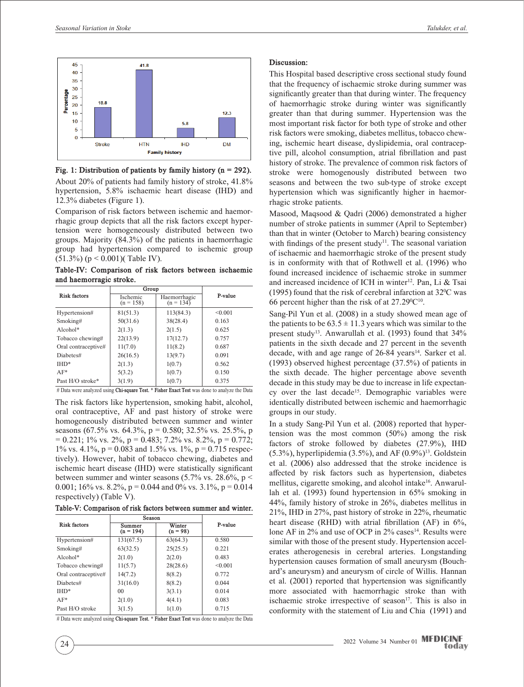

**Fig. 1: Distribution of patients by family history (n = 292).** About 20% of patients had family history of stroke, 41.8% hypertension, 5.8% ischaemic heart disease (IHD) and 12.3% diabetes (Figure 1).

Comparison of risk factors between ischemic and haemorrhagic group depicts that all the risk factors except hypertension were homogeneously distributed between two groups. Majority (84.3%) of the patients in haemorrhagic group had hypertension compared to ischemic group  $(51.3\%)$  (p < 0.001)( Table IV).

**Table-IV: Comparison of risk factors between ischaemic and haemorragic stroke.**

|                     | Group                   |                             |         |  |
|---------------------|-------------------------|-----------------------------|---------|--|
| <b>Risk factors</b> | Ischemic<br>$(n = 158)$ | Haemorrhagic<br>$(n = 134)$ | P-value |  |
| Hypertension#       | 81(51.3)                | 113(84.3)                   | < 0.001 |  |
| Smoking#            | 50(31.6)                | 38(28.4)                    | 0.163   |  |
| $Alcohol*$          | 2(1.3)                  | 2(1.5)                      | 0.625   |  |
| Tobacco chewing#    | 22(13.9)                | 17(12.7)                    | 0.757   |  |
| Oral contraceptive# | 11(7.0)                 | 11(8.2)                     | 0.687   |  |
| Diabetes#           | 26(16.5)                | 13(9.7)                     | 0.091   |  |
| $IHD^*$             | 2(1.3)                  | 1(0.7)                      | 0.562   |  |
| $AF*$               | 5(3.2)                  | 1(0.7)                      | 0.150   |  |
| Past H/O stroke*    | 3(1.9)                  | 1(0.7)                      | 0.375   |  |

# Data were analyzed using **Chi-square Test.** \* **Fisher Exact Test** was done to analyze the Data

The risk factors like hypertension, smoking habit, alcohol, oral contraceptive, AF and past history of stroke were homogeneously distributed between summer and winter seasons (67.5% vs. 64.3%,  $p = 0.580$ ; 32.5% vs. 25.5%, p  $= 0.221$ ; 1% vs. 2%, p = 0.483; 7.2% vs. 8.2%, p = 0.772; 1% vs. 4.1%,  $p = 0.083$  and 1.5% vs. 1%,  $p = 0.715$  respectively). However, habit of tobacco chewing, diabetes and ischemic heart disease (IHD) were statistically significant between summer and winter seasons  $(5.7\% \text{ vs. } 28.6\%, \text{ p}$ 0.001; 16% vs. 8.2%,  $p = 0.044$  and 0% vs. 3.1%,  $p = 0.014$ respectively) (Table V).

**Table-V: Comparison of risk factors between summer and winter.**

|                     | Season                |                      |         |
|---------------------|-----------------------|----------------------|---------|
| Risk factors        | Summer<br>$(n = 194)$ | Winter<br>$(n = 98)$ | P-value |
| Hypertension#       | 131(67.5)             | 63(64.3)             | 0.580   |
| Smoking#            | 63(32.5)              | 25(25.5)             | 0.221   |
| $Alcohol*$          | 2(1.0)                | 2(2.0)               | 0.483   |
| Tobacco chewing#    | 11(5.7)               | 28(28.6)             | < 0.001 |
| Oral contraceptive# | 14(7.2)               | 8(8.2)               | 0.772   |
| Diabetes#           | 31(16.0)              | 8(8.2)               | 0.044   |
| $IHD*$              | 0 <sup>0</sup>        | 3(3.1)               | 0.014   |
| $AF*$               | 2(1.0)                | 4(4.1)               | 0.083   |
| Past H/O stroke     | 3(1.5)                | 1(1.0)               | 0.715   |

# Data were analyzed using **Chi-square Test.** \* **Fisher Exact Test** was done to analyze the Data

#### **Discussion:**

This Hospital based descriptive cross sectional study found that the frequency of ischaemic stroke during summer was significantly greater than that during winter. The frequency of haemorrhagic stroke during winter was significantly greater than that during summer. Hypertension was the most important risk factor for both type of stroke and other risk factors were smoking, diabetes mellitus, tobacco chewing, ischemic heart disease, dyslipidemia, oral contraceptive pill, alcohol consumption, atrial fibrillation and past history of stroke. The prevalence of common risk factors of stroke were homogenously distributed between two seasons and between the two sub-type of stroke except hypertension which was significantly higher in haemorrhagic stroke patients.

Masood, Maqsood & Qadri (2006) demonstrated a higher number of stroke patients in summer (April to September) than that in winter (October to March) bearing consistency with findings of the present study<sup>11</sup>. The seasonal variation of ischaemic and haemorrhagic stroke of the present study is in conformity with that of Rothwell et al. (1996) who found increased incidence of ischaemic stroke in summer and increased incidence of ICH in winter<sup>12</sup>. Pan, Li & Tsai (1995) found that the risk of cerebral infarction at  $32^{\circ}$ C was 66 percent higher than the risk of at  $27.29^{\circ}C^{10}$ .

Sang-Pil Yun et al. (2008) in a study showed mean age of the patients to be  $63.5 \pm 11.3$  years which was similar to the present study<sup>13</sup>. Anwarullah et al. (1993) found that 34% patients in the sixth decade and 27 percent in the seventh decade, with and age range of 26-84 years<sup>14</sup>. Sarker et al. (1993) observed highest percentage (37.5%) of patients in the sixth decade. The higher percentage above seventh decade in this study may be due to increase in life expectancy over the last decade<sup>15</sup>. Demographic variables were identically distributed between ischemic and haemorrhagic groups in our study.

In a study Sang-Pil Yun et al. (2008) reported that hypertension was the most common (50%) among the risk factors of stroke followed by diabetes (27.9%), IHD (5.3%), hyperlipidemia (3.5%), and AF  $(0.9\%)^{13}$ . Goldstein et al. (2006) also addressed that the stroke incidence is affected by risk factors such as hypertension, diabetes mellitus, cigarette smoking, and alcohol intake<sup>16</sup>. Anwarullah et al. (1993) found hypertension in 65% smoking in 44%, family history of stroke in 26%, diabetes mellitus in 21%, IHD in 27%, past history of stroke in 22%, rheumatic heart disease (RHD) with atrial fibrillation (AF) in 6%, lone AF in 2% and use of OCP in 2% cases<sup>14</sup>. Results were similar with those of the present study. Hypertension accelerates atherogenesis in cerebral arteries. Longstanding hypertension causes formation of small aneurysm (Bouchard's aneurysm) and aneurysm of circle of Willis. Hannan et al. (2001) reported that hypertension was significantly more associated with haemorrhagic stroke than with ischaemic stroke irrespective of season<sup>17</sup>. This is also in conformity with the statement of Liu and Chia (1991) and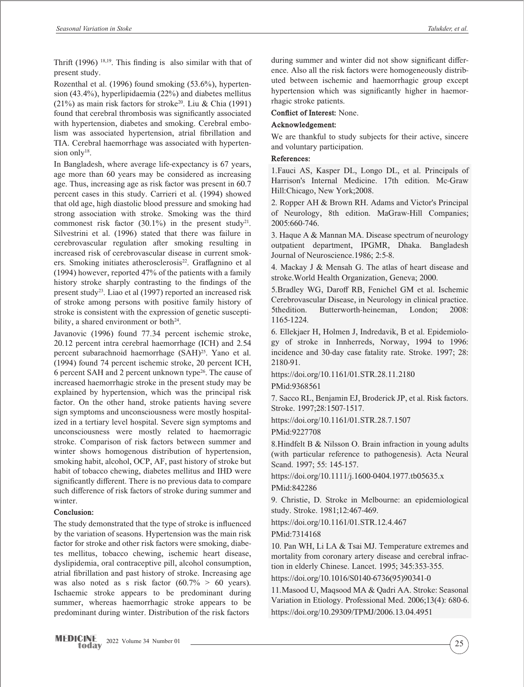Thrift (1996)  $18,19$ . This finding is also similar with that of present study.

Rozenthal et al. (1996) found smoking (53.6%), hypertension (43.4%), hyperlipidaemia (22%) and diabetes mellitus (21%) as main risk factors for stroke<sup>20</sup>. Liu & Chia (1991) found that cerebral thrombosis was significantly associated with hypertension, diabetes and smoking. Cerebral embolism was associated hypertension, atrial fibrillation and TIA. Cerebral haemorrhage was associated with hypertension only<sup>18</sup>.

In Bangladesh, where average life-expectancy is 67 years, age more than 60 years may be considered as increasing age. Thus, increasing age as risk factor was present in 60.7 percent cases in this study. Carrieri et al. (1994) showed that old age, high diastolic blood pressure and smoking had strong association with stroke. Smoking was the third commonest risk factor  $(30.1\%)$  in the present study<sup>21</sup>. Silvestrini et al. (1996) stated that there was failure in cerebrovascular regulation after smoking resulting in increased risk of cerebrovascular disease in current smokers. Smoking initiates atherosclerosis<sup>22</sup>. Graffagnino et al (1994) however, reported 47% of the patients with a family history stroke sharply contrasting to the findings of the present study<sup>23</sup>. Liao et al (1997) reported an increased risk of stroke among persons with positive family history of stroke is consistent with the expression of genetic susceptibility, a shared environment or both $24$ .

Javanovic (1996) found 77.34 percent ischemic stroke, 20.12 percent intra cerebral haemorrhage (ICH) and 2.54 percent subarachnoid haemorrhage (SAH)<sup>25</sup>. Yano et al. (1994) found 74 percent ischemic stroke, 20 percent ICH, 6 percent SAH and 2 percent unknown type26. The cause of increased haemorrhagic stroke in the present study may be explained by hypertension, which was the principal risk factor. On the other hand, stroke patients having severe sign symptoms and unconsciousness were mostly hospitalized in a tertiary level hospital. Severe sign symptoms and unconsciousness were mostly related to haemorragic stroke. Comparison of risk factors between summer and winter shows homogenous distribution of hypertension, smoking habit, alcohol, OCP, AF, past history of stroke but habit of tobacco chewing, diabetes mellitus and IHD were significantly different. There is no previous data to compare such difference of risk factors of stroke during summer and winter.

#### **Conclusion:**

The study demonstrated that the type of stroke is influenced by the variation of seasons. Hypertension was the main risk factor for stroke and other risk factors were smoking, diabetes mellitus, tobacco chewing, ischemic heart disease, dyslipidemia, oral contraceptive pill, alcohol consumption, atrial fibrillation and past history of stroke. Increasing age was also noted as s risk factor  $(60.7\% > 60$  years). Ischaemic stroke appears to be predominant during summer, whereas haemorrhagic stroke appears to be predominant during winter. Distribution of the risk factors

during summer and winter did not show significant difference. Also all the risk factors were homogeneously distributed between ischemic and haemorrhagic group except hypertension which was significantly higher in haemorrhagic stroke patients.

**Conflict of Interest:** None.

#### **Acknowledgement:**

We are thankful to study subjects for their active, sincere and voluntary participation.

#### **References:**

1.Fauci AS, Kasper DL, Longo DL, et al. Principals of Harrison's Internal Medicine. 17th edition. Mc-Graw Hill:Chicago, New York;2008.

2. Ropper AH & Brown RH. Adams and Victor's Principal of Neurology, 8th edition. MaGraw-Hill Companies; 2005:660-746.

3. Haque A & Mannan MA. Disease spectrum of neurology outpatient department, IPGMR, Dhaka. Bangladesh Journal of Neuroscience.1986; 2:5-8.

4. Mackay J & Mensah G. The atlas of heart disease and stroke.World Health Organization, Geneva; 2000.

5.Bradley WG, Daroff RB, Fenichel GM et al. Ischemic Cerebrovascular Disease, in Neurology in clinical practice. 5thedition. Butterworth-heineman, London; 2008: 1165-1224.

6. Ellekjaer H, Holmen J, Indredavik, B et al. Epidemiology of stroke in Innherreds, Norway, 1994 to 1996: incidence and 30-day case fatality rate. Stroke. 1997; 28: 2180-91.

https://doi.org/10.1161/01.STR.28.11.2180

PMid:9368561

7. Sacco RL, Benjamin EJ, Broderick JP, et al. Risk factors. Stroke. 1997;28:1507-1517.

https://doi.org/10.1161/01.STR.28.7.1507

PMid:9227708

8.Hindfelt B & Nilsson O. Brain infraction in young adults (with particular reference to pathogenesis). Acta Neural Scand. 1997; 55: 145-157.

https://doi.org/10.1111/j.1600-0404.1977.tb05635.x PMid:842286

9. Christie, D. Stroke in Melbourne: an epidemiological study. Stroke. 1981;12:467-469.

https://doi.org/10.1161/01.STR.12.4.467

PMid:7314168

10. Pan WH, Li LA & Tsai MJ. Temperature extremes and mortality from coronary artery disease and cerebral infraction in elderly Chinese. Lancet. 1995; 345:353-355.

https://doi.org/10.1016/S0140-6736(95)90341-0

11.Masood U, Maqsood MA & Qadri AA. Stroke: Seasonal Variation in Etiology. Professional Med. 2006;13(4): 680-6. https://doi.org/10.29309/TPMJ/2006.13.04.4951